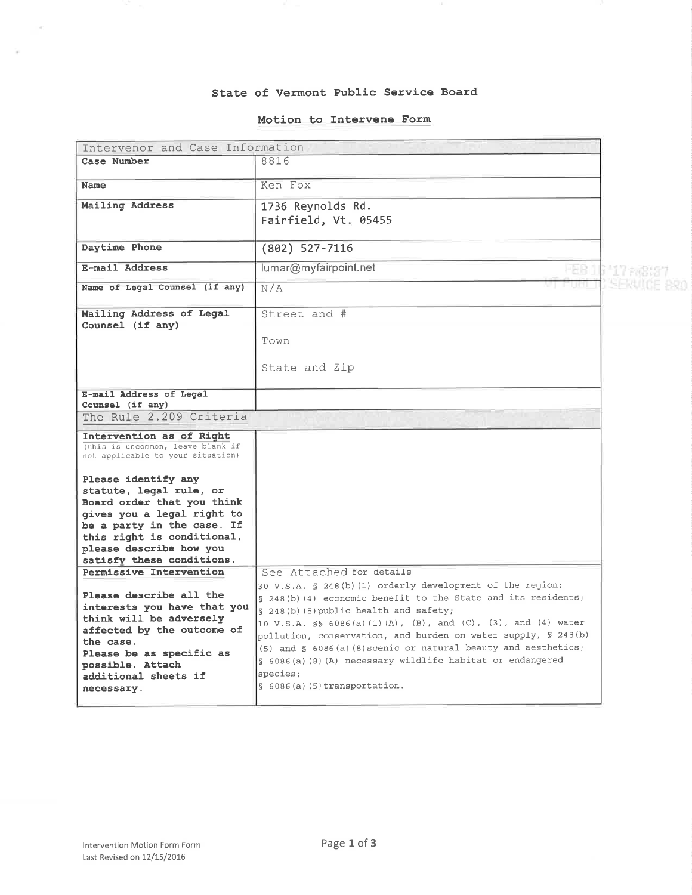## State of Vermont PubLic Service Board

## Motion to Intervene Form

| Intervenor and Case Information                                                                                                                                                                                                               |                                                                                                                                                                                                                                                                                                                                                                                                                                                                                                           |                |  |
|-----------------------------------------------------------------------------------------------------------------------------------------------------------------------------------------------------------------------------------------------|-----------------------------------------------------------------------------------------------------------------------------------------------------------------------------------------------------------------------------------------------------------------------------------------------------------------------------------------------------------------------------------------------------------------------------------------------------------------------------------------------------------|----------------|--|
| Case Number                                                                                                                                                                                                                                   | 8816                                                                                                                                                                                                                                                                                                                                                                                                                                                                                                      |                |  |
| Name                                                                                                                                                                                                                                          | Ken Fox                                                                                                                                                                                                                                                                                                                                                                                                                                                                                                   |                |  |
| Mailing Address                                                                                                                                                                                                                               | 1736 Reynolds Rd.<br>Fairfield, Vt. 05455                                                                                                                                                                                                                                                                                                                                                                                                                                                                 |                |  |
| Daytime Phone                                                                                                                                                                                                                                 | (802) 527-7116                                                                                                                                                                                                                                                                                                                                                                                                                                                                                            |                |  |
| E-mail Address                                                                                                                                                                                                                                | lumar@myfairpoint.net                                                                                                                                                                                                                                                                                                                                                                                                                                                                                     | <b>LY RACK</b> |  |
| Name of Legal Counsel (if any)                                                                                                                                                                                                                | N/A                                                                                                                                                                                                                                                                                                                                                                                                                                                                                                       |                |  |
| Mailing Address of Legal<br>Counsel (if any)                                                                                                                                                                                                  | Street and #                                                                                                                                                                                                                                                                                                                                                                                                                                                                                              |                |  |
|                                                                                                                                                                                                                                               | Town                                                                                                                                                                                                                                                                                                                                                                                                                                                                                                      |                |  |
|                                                                                                                                                                                                                                               | State and Zip                                                                                                                                                                                                                                                                                                                                                                                                                                                                                             |                |  |
| E-mail Address of Legal                                                                                                                                                                                                                       |                                                                                                                                                                                                                                                                                                                                                                                                                                                                                                           |                |  |
| Counsel (if any)                                                                                                                                                                                                                              |                                                                                                                                                                                                                                                                                                                                                                                                                                                                                                           |                |  |
| The Rule 2.209 Criteria                                                                                                                                                                                                                       |                                                                                                                                                                                                                                                                                                                                                                                                                                                                                                           |                |  |
| Intervention as of Right<br>(this is uncommon, leave blank if<br>not applicable to your situation)                                                                                                                                            |                                                                                                                                                                                                                                                                                                                                                                                                                                                                                                           |                |  |
| Please identify any<br>statute, legal rule, or<br>Board order that you think<br>gives you a legal right to<br>be a party in the case. If<br>this right is conditional,<br>please describe how you<br>satisfy these conditions.                |                                                                                                                                                                                                                                                                                                                                                                                                                                                                                                           |                |  |
| Permissive Intervention<br>Please describe all the<br>interests you have that you<br>think will be adversely<br>affected by the outcome of<br>the case.<br>Please be as specific as<br>possible. Attach<br>additional sheets if<br>necessary. | See Attached for details<br>30 V.S.A. § 248(b)(1) orderly development of the region;<br>§ 248(b)(4) economic benefit to the State and its residents;<br>§ 248(b)(5) public health and safety;<br>10 V.S.A. §§ 6086(a)(1)(A), (B), and (C), (3), and (4) water<br>pollution, conservation, and burden on water supply, § 248(b)<br>(5) and § 6086(a)(8) scenic or natural beauty and aesthetics;<br>§ 6086(a)(8)(A) necessary wildlife habitat or endangered<br>species;<br>$\S$ 6086(a)(5)transportation. |                |  |

Ŷ.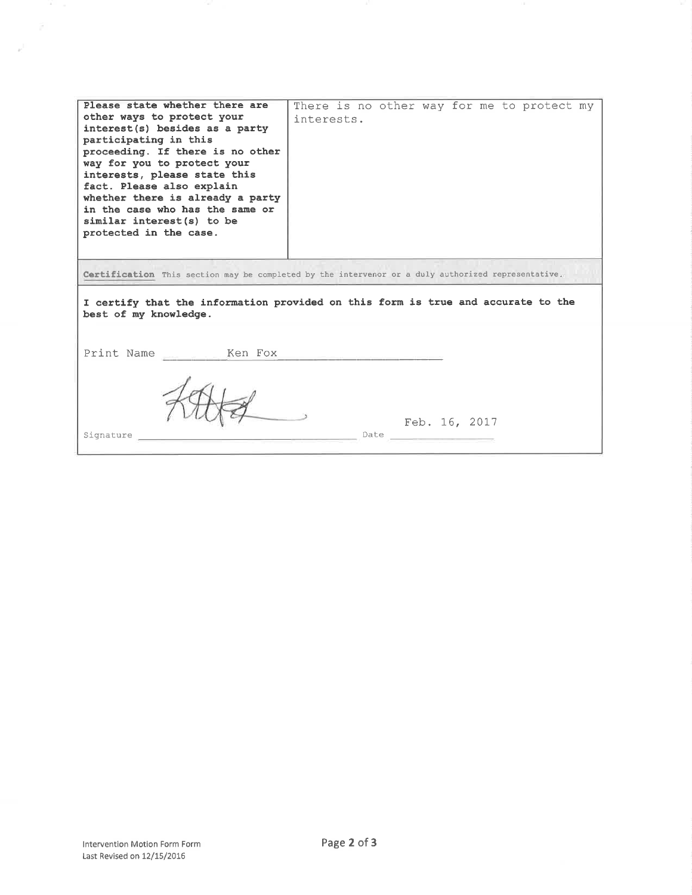| Please state whether there are<br>other ways to protect your<br>interest(s) besides as a party                                                                                                                                                                                      | There is no other way for me to protect my<br>interests. |  |  |
|-------------------------------------------------------------------------------------------------------------------------------------------------------------------------------------------------------------------------------------------------------------------------------------|----------------------------------------------------------|--|--|
| participating in this<br>proceeding. If there is no other<br>way for you to protect your<br>interests, please state this<br>fact. Please also explain<br>whether there is already a party<br>in the case who has the same or<br>similar interest(s) to be<br>protected in the case. |                                                          |  |  |
| Certification This section may be completed by the intervenor or a duly authorized representative.                                                                                                                                                                                  |                                                          |  |  |
| I certify that the information provided on this form is true and accurate to the<br>best of my knowledge.                                                                                                                                                                           |                                                          |  |  |
| Ken Fox<br>Print Name                                                                                                                                                                                                                                                               |                                                          |  |  |
| Signature                                                                                                                                                                                                                                                                           | Feb. 16, 2017<br>Date                                    |  |  |

m.

v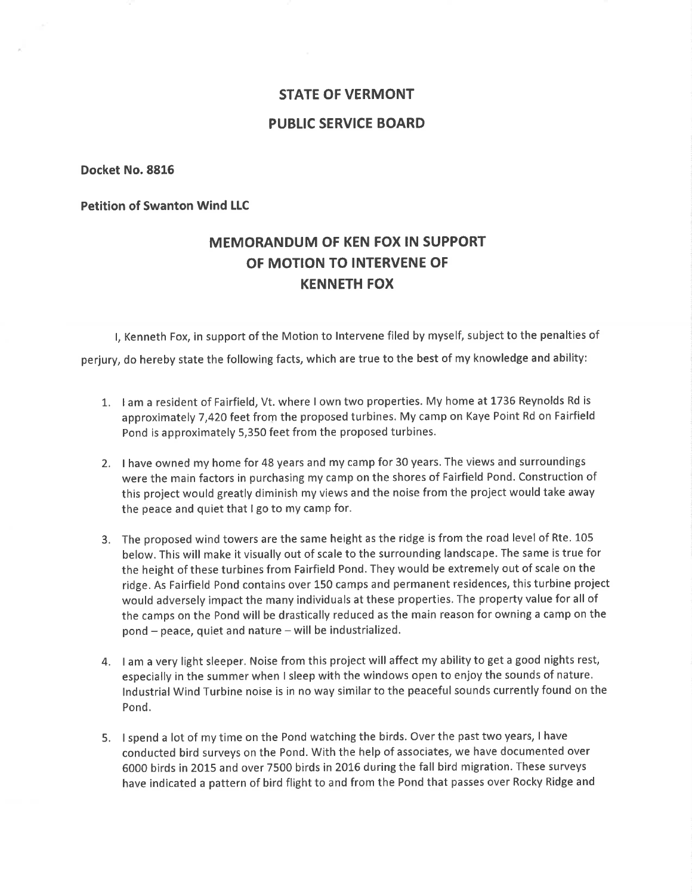# STATE OF VERMONT

# PUBLIC SERVICE BOARD

Docket No.8816

Petition of Swanton Wind LLC

# MEMORANDUM OF KEN FOX IN SUPPORT OF MOTION TO INTERVENE OF KENNETH FOX

l, Kenneth Fox, in support of the Motion to lntervene filed by myself, subject to the penalties of perjury, do hereby state the following facts, which are true to the best of my knowledge and ability:

- 1. I am a resident of Fairfield, Vt. where I own two properties. My home at 1736 Reynolds Rd is approximately 7,420 feet from the proposed turbines. My camp on Kaye Point Rd on Fairfield Pond is approximately 5,350 feet from the proposed turbines.
- 2. I have owned my home for 48 years and my camp for 30 years. The views and surroundings were the main factors in purchasing my camp on the shores of Fairfield Pond. Construction of this project would greatly diminish my views and the noise from the project would take away the peace and quiet that I go to my camp for.
- 3. The proposed wind towers are the same height as the ridge is from the road level of Rte. L05 below. This will make it visually out of scale to the surrounding landscape. The same is true for the height of these turbines from Fairfield Pond. They would be extremely out of scale on the ridge. As Fairfield Pond contains over 150 camps and permanent residences, this turbine project would adversely impact the many individuals at these properties, The property value for all of the camps on the Pond will be drastically reduced as the main reason for owning a camp on the pond - peace, quiet and nature - will be industrialized.
- 4. I am a very light sleeper. Noise from this project will affect my ability to get a good nights rest, especially in the summer when I sleep with the windows open to enjoy the sounds of nature, lndustrial Wind Turbine noise is in no way similar to the peaceful sounds currently found on the Pond.
- 5. I spend a lot of my time on the Pond watching the birds. Over the past two years, I have conducted bird surveys on the Pond. With the help of associates, we have documented over 6000 birds in 20L5 and over 7500 birds in 2016 during the fall bird migration. These surveys have indicated a pattern of bird flight to and from the Pond that passes over Rocky Ridge and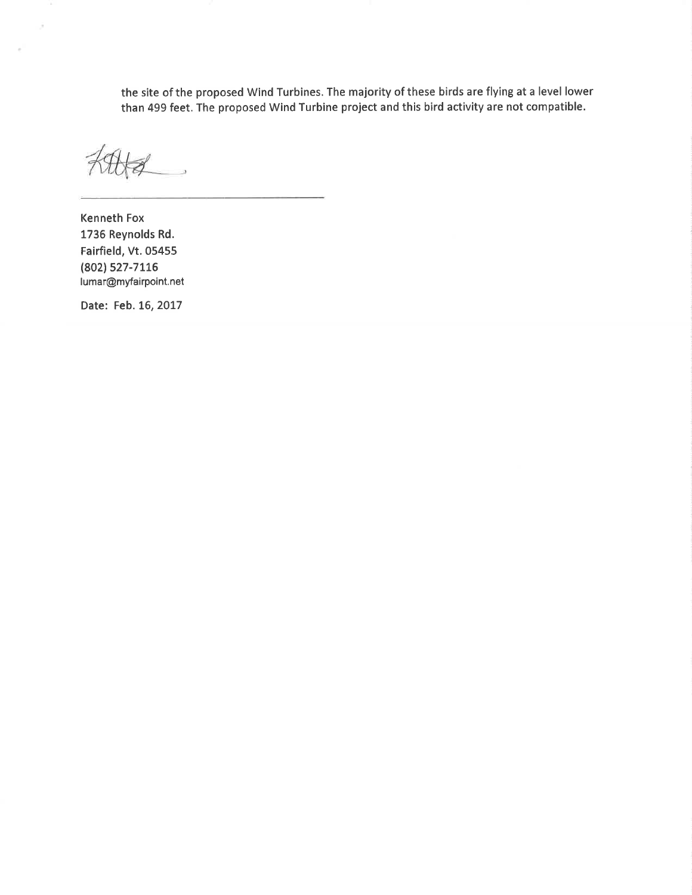the site of the proposed Wind Turbines. The majority of these birds are flying at a level lower than 499 feet. The proposed Wind Turbine project and this bird activity are not compatible.

 $\overline{\phantom{a}}$ 

Kenneth Fox 1736 Reynolds Rd. Fairfield, Vt.05455 (802) 527-7116 Iumar@myfairpoint.net

Date: Feb. 16, 2017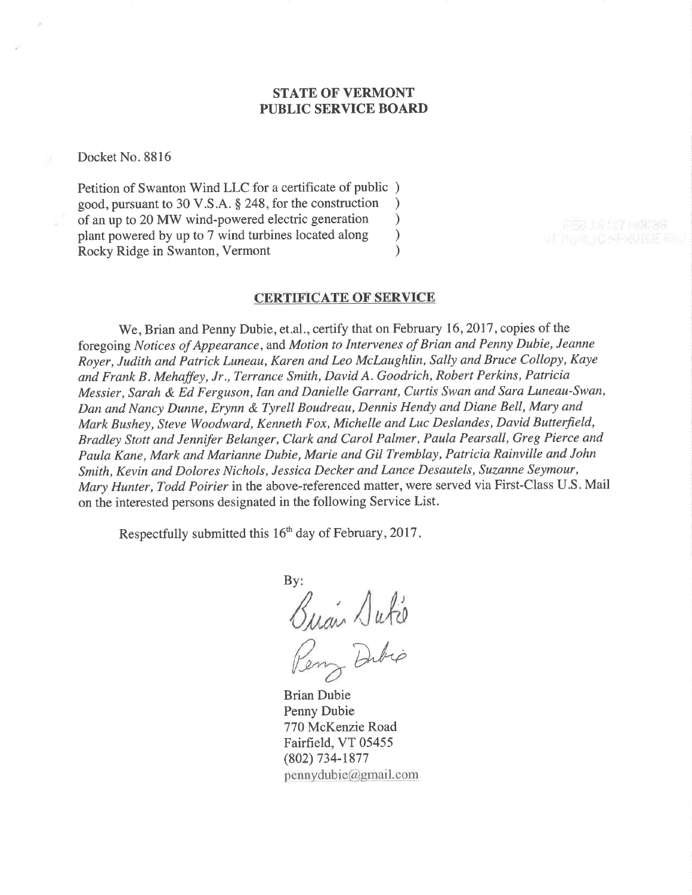# STATE OF VERMONT PUBLIC SERVICE BOARI)

Docket No. 8816

Petition of Swanton Wind LLC for a certificate of public ) good, pursuant to 30 V.S.A. § 248, for the construction <br>of an up to 20 MW wind-powered electric generation  $\qquad$ of an up to 20 MW wind-powered electric generation <br>plant powered by up to 7 wind turbines located along  $)$ plant powered by up to 7 wind turbines located along <br>Rocky Ridge in Swanton. Vermont (a) Rocky Ridge in Swanton, Vermont )

#### CERTIFICATE OF SERVICE

We, Brian and Penny Dubie, et.al., certify that on February 16,2017 , copies of the foregoing Notices of Appearance, and Motion to Intervenes of Brian and Penny Dubie, Jeanne Royer, Judith and Patrick Luneau, Karen and Leo Mclaughlin, Sally and Bruce Collopy, Kaye and Frank B. Mehaffey, Jr., Terrance Smith, David A. Goodrich, Robert Perkins, Patricia Messier, Sarah & Ed Ferguson, Ian and Danielle Garrant, Curtis Swan and Sara Luneau-Swan, Dan and Nancy Dunne, Erynn & Tyrell Boudreau, Dennis Hendy and Diane Bell, Mary and Mark Bushey, Steve Woodward, Kenneth Fox, Michelle and Luc Deslandes, David Butterfield, Bradley Stott and Jennifer Belanger, Clark and Carol Palmer, Paula Pearsall, Greg Pierce and Paula Kane, Mark and Marianne Dubie, Marie and Gil Tremblay, Patricia Rainville and John Smith, Kevin and Dolores Nichols, Jessica Decker and Lance Desautels, Suzanne Seymour, Mary Hunter, Todd Poirier in the above-referenced matter, were served via First-Class U.S. Mail on the interested persons designated in the following Service List.

Respectfully submitted this 16<sup>th</sup> day of February, 2017.

By:  $\sqrt{ab}$ 

Dubio

Brian Dubie Penny Dubie 770 McKenzie Road Fairfield, VT 05455 (802) 734-1877  $pennydubic@gmail.com$